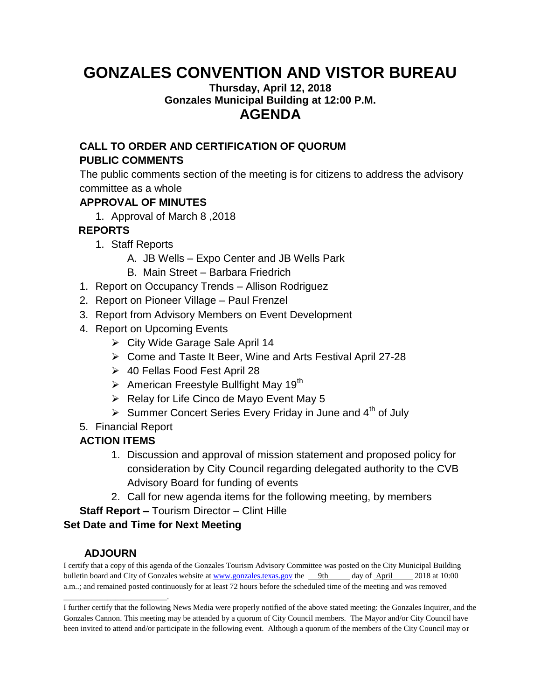# **GONZALES CONVENTION AND VISTOR BUREAU**

#### **Thursday, April 12, 2018 Gonzales Municipal Building at 12:00 P.M. AGENDA**

## **CALL TO ORDER AND CERTIFICATION OF QUORUM PUBLIC COMMENTS**

The public comments section of the meeting is for citizens to address the advisory committee as a whole

## **APPROVAL OF MINUTES**

1. Approval of March 8 ,2018

# **REPORTS**

- 1. Staff Reports
	- A. JB Wells Expo Center and JB Wells Park
	- B. Main Street Barbara Friedrich
- 1. Report on Occupancy Trends Allison Rodriguez
- 2. Report on Pioneer Village Paul Frenzel
- 3. Report from Advisory Members on Event Development
- 4. Report on Upcoming Events
	- City Wide Garage Sale April 14
	- Come and Taste It Beer, Wine and Arts Festival April 27-28
	- 40 Fellas Food Fest April 28
	- $\triangleright$  American Freestyle Bullfight May 19<sup>th</sup>
	- ▶ Relay for Life Cinco de Mayo Event May 5
	- Summer Concert Series Every Friday in June and  $4<sup>th</sup>$  of July
- 5. Financial Report

# **ACTION ITEMS**

- 1. Discussion and approval of mission statement and proposed policy for consideration by City Council regarding delegated authority to the CVB Advisory Board for funding of events
- 2. Call for new agenda items for the following meeting, by members

**Staff Report –** Tourism Director – Clint Hille

#### **Set Date and Time for Next Meeting**

#### **ADJOURN**

\_\_\_\_\_\_\_\_\_\_\_\_\_\_\_\_\_\_\_\_\_\_\_\_\_\_.

I certify that a copy of this agenda of the Gonzales Tourism Advisory Committee was posted on the City Municipal Building bulletin board and City of Gonzales website at [www.gonzales.texas.gov](http://www.gonzales.texas.gov/) the 9th day of April 2018 at 10:00 a.m..; and remained posted continuously for at least 72 hours before the scheduled time of the meeting and was removed

I further certify that the following News Media were properly notified of the above stated meeting: the Gonzales Inquirer, and the Gonzales Cannon. This meeting may be attended by a quorum of City Council members. The Mayor and/or City Council have been invited to attend and/or participate in the following event. Although a quorum of the members of the City Council may or